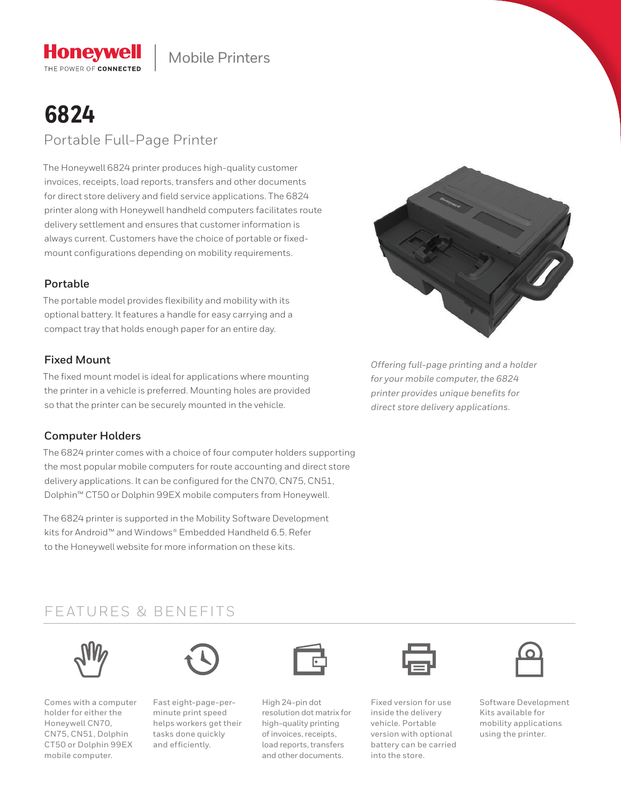

# **6824** Portable Full-Page Printer

**Honeywell** THE POWER OF CONNECTED

The Honeywell 6824 printer produces high-quality customer invoices, receipts, load reports, transfers and other documents for direct store delivery and field service applications. The 6824 printer along with Honeywell handheld computers facilitates route delivery settlement and ensures that customer information is always current. Customers have the choice of portable or fixedmount configurations depending on mobility requirements.

### **Portable**

The portable model provides flexibility and mobility with its optional battery. It features a handle for easy carrying and a compact tray that holds enough paper for an entire day.

## **Fixed Mount**

The fixed mount model is ideal for applications where mounting the printer in a vehicle is preferred. Mounting holes are provided so that the printer can be securely mounted in the vehicle.

## **Computer Holders**

The 6824 printer comes with a choice of four computer holders supporting the most popular mobile computers for route accounting and direct store delivery applications. It can be configured for the CN70, CN75, CN51, Dolphin™ CT50 or Dolphin 99EX mobile computers from Honeywell.

The 6824 printer is supported in the Mobility Software Development kits for Android™ and Windows® Embedded Handheld 6.5. Refer to the Honeywell website for more information on these kits.



*Offering full-page printing and a holder for your mobile computer, the 6824 printer provides unique benefits for direct store delivery applications.*

## FEATURES & BENEFITS



Comes with a computer holder for either the Honeywell CN70, CN75, CN51, Dolphin CT50 or Dolphin 99EX mobile computer.



Fast eight-page-perminute print speed helps workers get their tasks done quickly and efficiently.



High 24-pin dot resolution dot matrix for high-quality printing of invoices, receipts, load reports, transfers and other documents.

Fixed version for use inside the delivery vehicle. Portable version with optional battery can be carried into the store.



Software Development Kits available for mobility applications using the printer.